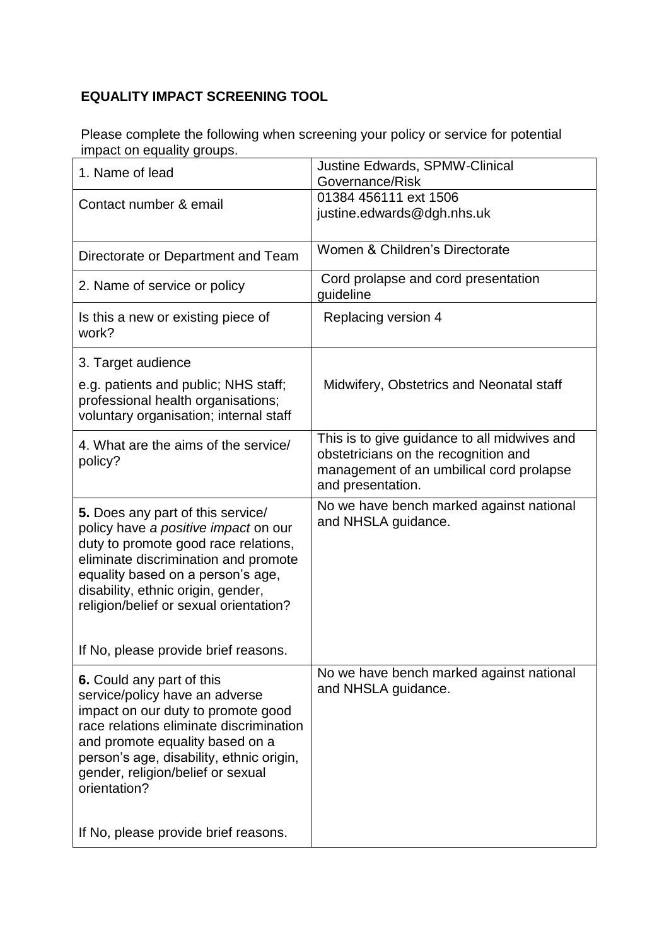## **EQUALITY IMPACT SCREENING TOOL**

Please complete the following when screening your policy or service for potential impact on equality groups.

| 1. Name of lead                                                                                                                                                                                                                                                                  | <b>Justine Edwards, SPMW-Clinical</b><br>Governance/Risk                                                                                              |
|----------------------------------------------------------------------------------------------------------------------------------------------------------------------------------------------------------------------------------------------------------------------------------|-------------------------------------------------------------------------------------------------------------------------------------------------------|
| Contact number & email                                                                                                                                                                                                                                                           | 01384 456111 ext 1506<br>justine.edwards@dgh.nhs.uk                                                                                                   |
| Directorate or Department and Team                                                                                                                                                                                                                                               | Women & Children's Directorate                                                                                                                        |
| 2. Name of service or policy                                                                                                                                                                                                                                                     | Cord prolapse and cord presentation<br>guideline                                                                                                      |
| Is this a new or existing piece of<br>work?                                                                                                                                                                                                                                      | Replacing version 4                                                                                                                                   |
| 3. Target audience                                                                                                                                                                                                                                                               |                                                                                                                                                       |
| e.g. patients and public; NHS staff;<br>professional health organisations;<br>voluntary organisation; internal staff                                                                                                                                                             | Midwifery, Obstetrics and Neonatal staff                                                                                                              |
| 4. What are the aims of the service/<br>policy?                                                                                                                                                                                                                                  | This is to give guidance to all midwives and<br>obstetricians on the recognition and<br>management of an umbilical cord prolapse<br>and presentation. |
| 5. Does any part of this service/<br>policy have a positive impact on our<br>duty to promote good race relations,<br>eliminate discrimination and promote<br>equality based on a person's age,<br>disability, ethnic origin, gender,<br>religion/belief or sexual orientation?   | No we have bench marked against national<br>and NHSLA guidance.                                                                                       |
| If No, please provide brief reasons.                                                                                                                                                                                                                                             |                                                                                                                                                       |
| 6. Could any part of this<br>service/policy have an adverse<br>impact on our duty to promote good<br>race relations eliminate discrimination<br>and promote equality based on a<br>person's age, disability, ethnic origin,<br>gender, religion/belief or sexual<br>orientation? | No we have bench marked against national<br>and NHSLA guidance.                                                                                       |
| If No, please provide brief reasons.                                                                                                                                                                                                                                             |                                                                                                                                                       |